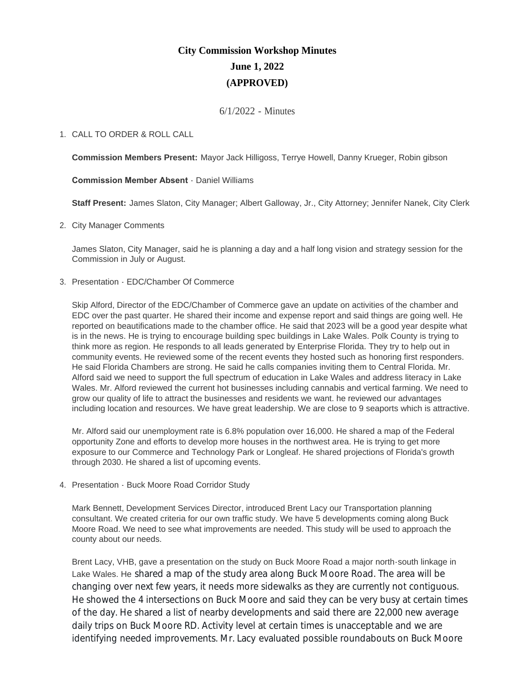# **City Commission Workshop Minutes June 1, 2022 (APPROVED)**

6/1/2022 - Minutes

# CALL TO ORDER & ROLL CALL 1.

**Commission Members Present:** Mayor Jack Hilligoss, Terrye Howell, Danny Krueger, Robin gibson

**Commission Member Absent** - Daniel Williams

**Staff Present:** James Slaton, City Manager; Albert Galloway, Jr., City Attorney; Jennifer Nanek, City Clerk

2. City Manager Comments

James Slaton, City Manager, said he is planning a day and a half long vision and strategy session for the Commission in July or August.

3. Presentation - EDC/Chamber Of Commerce

Skip Alford, Director of the EDC/Chamber of Commerce gave an update on activities of the chamber and EDC over the past quarter. He shared their income and expense report and said things are going well. He reported on beautifications made to the chamber office. He said that 2023 will be a good year despite what is in the news. He is trying to encourage building spec buildings in Lake Wales. Polk County is trying to think more as region. He responds to all leads generated by Enterprise Florida. They try to help out in community events. He reviewed some of the recent events they hosted such as honoring first responders. He said Florida Chambers are strong. He said he calls companies inviting them to Central Florida. Mr. Alford said we need to support the full spectrum of education in Lake Wales and address literacy in Lake Wales. Mr. Alford reviewed the current hot businesses including cannabis and vertical farming. We need to grow our quality of life to attract the businesses and residents we want. he reviewed our advantages including location and resources. We have great leadership. We are close to 9 seaports which is attractive.

Mr. Alford said our unemployment rate is 6.8% population over 16,000. He shared a map of the Federal opportunity Zone and efforts to develop more houses in the northwest area. He is trying to get more exposure to our Commerce and Technology Park or Longleaf. He shared projections of Florida's growth through 2030. He shared a list of upcoming events.

4. Presentation - Buck Moore Road Corridor Study

Mark Bennett, Development Services Director, introduced Brent Lacy our Transportation planning consultant. We created criteria for our own traffic study. We have 5 developments coming along Buck Moore Road. We need to see what improvements are needed. This study will be used to approach the county about our needs.

Brent Lacy, VHB, gave a presentation on the study on Buck Moore Road a major north-south linkage in Lake Wales. He shared a map of the study area along Buck Moore Road. The area will be changing over next few years, it needs more sidewalks as they are currently not contiguous. He showed the 4 intersections on Buck Moore and said they can be very busy at certain times of the day. He shared a list of nearby developments and said there are 22,000 new average daily trips on Buck Moore RD. Activity level at certain times is unacceptable and we are identifying needed improvements. Mr. Lacy evaluated possible roundabouts on Buck Moore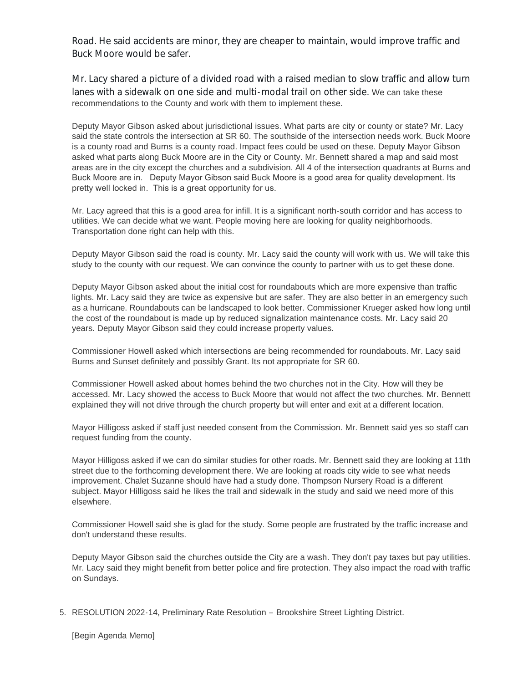Road. He said accidents are minor, they are cheaper to maintain, would improve traffic and Buck Moore would be safer.

Mr. Lacy shared a picture of a divided road with a raised median to slow traffic and allow turn lanes with a sidewalk on one side and multi-modal trail on other side. We can take these recommendations to the County and work with them to implement these.

Deputy Mayor Gibson asked about jurisdictional issues. What parts are city or county or state? Mr. Lacy said the state controls the intersection at SR 60. The southside of the intersection needs work. Buck Moore is a county road and Burns is a county road. Impact fees could be used on these. Deputy Mayor Gibson asked what parts along Buck Moore are in the City or County. Mr. Bennett shared a map and said most areas are in the city except the churches and a subdivision. All 4 of the intersection quadrants at Burns and Buck Moore are in. Deputy Mayor Gibson said Buck Moore is a good area for quality development. Its pretty well locked in. This is a great opportunity for us.

Mr. Lacy agreed that this is a good area for infill. It is a significant north-south corridor and has access to utilities. We can decide what we want. People moving here are looking for quality neighborhoods. Transportation done right can help with this.

Deputy Mayor Gibson said the road is county. Mr. Lacy said the county will work with us. We will take this study to the county with our request. We can convince the county to partner with us to get these done.

Deputy Mayor Gibson asked about the initial cost for roundabouts which are more expensive than traffic lights. Mr. Lacy said they are twice as expensive but are safer. They are also better in an emergency such as a hurricane. Roundabouts can be landscaped to look better. Commissioner Krueger asked how long until the cost of the roundabout is made up by reduced signalization maintenance costs. Mr. Lacy said 20 years. Deputy Mayor Gibson said they could increase property values.

Commissioner Howell asked which intersections are being recommended for roundabouts. Mr. Lacy said Burns and Sunset definitely and possibly Grant. Its not appropriate for SR 60.

Commissioner Howell asked about homes behind the two churches not in the City. How will they be accessed. Mr. Lacy showed the access to Buck Moore that would not affect the two churches. Mr. Bennett explained they will not drive through the church property but will enter and exit at a different location.

Mayor Hilligoss asked if staff just needed consent from the Commission. Mr. Bennett said yes so staff can request funding from the county.

Mayor Hilligoss asked if we can do similar studies for other roads. Mr. Bennett said they are looking at 11th street due to the forthcoming development there. We are looking at roads city wide to see what needs improvement. Chalet Suzanne should have had a study done. Thompson Nursery Road is a different subject. Mayor Hilligoss said he likes the trail and sidewalk in the study and said we need more of this elsewhere.

Commissioner Howell said she is glad for the study. Some people are frustrated by the traffic increase and don't understand these results.

Deputy Mayor Gibson said the churches outside the City are a wash. They don't pay taxes but pay utilities. Mr. Lacy said they might benefit from better police and fire protection. They also impact the road with traffic on Sundays.

5. RESOLUTION 2022-14, Preliminary Rate Resolution - Brookshire Street Lighting District.

[Begin Agenda Memo]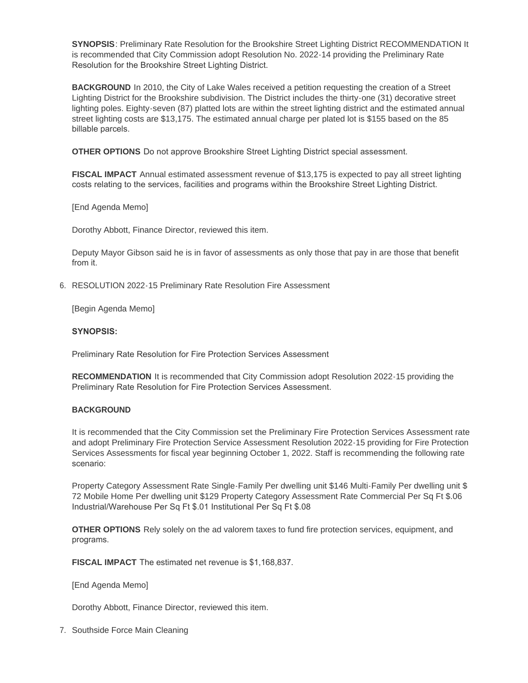**SYNOPSIS**: Preliminary Rate Resolution for the Brookshire Street Lighting District RECOMMENDATION It is recommended that City Commission adopt Resolution No. 2022-14 providing the Preliminary Rate Resolution for the Brookshire Street Lighting District.

**BACKGROUND** In 2010, the City of Lake Wales received a petition requesting the creation of a Street Lighting District for the Brookshire subdivision. The District includes the thirty-one (31) decorative street lighting poles. Eighty-seven (87) platted lots are within the street lighting district and the estimated annual street lighting costs are \$13,175. The estimated annual charge per plated lot is \$155 based on the 85 billable parcels.

**OTHER OPTIONS** Do not approve Brookshire Street Lighting District special assessment.

**FISCAL IMPACT** Annual estimated assessment revenue of \$13,175 is expected to pay all street lighting costs relating to the services, facilities and programs within the Brookshire Street Lighting District.

[End Agenda Memo]

Dorothy Abbott, Finance Director, reviewed this item.

Deputy Mayor Gibson said he is in favor of assessments as only those that pay in are those that benefit from it.

6. RESOLUTION 2022-15 Preliminary Rate Resolution Fire Assessment

[Begin Agenda Memo]

#### **SYNOPSIS:**

Preliminary Rate Resolution for Fire Protection Services Assessment

**RECOMMENDATION** It is recommended that City Commission adopt Resolution 2022-15 providing the Preliminary Rate Resolution for Fire Protection Services Assessment.

## **BACKGROUND**

It is recommended that the City Commission set the Preliminary Fire Protection Services Assessment rate and adopt Preliminary Fire Protection Service Assessment Resolution 2022-15 providing for Fire Protection Services Assessments for fiscal year beginning October 1, 2022. Staff is recommending the following rate scenario:

Property Category Assessment Rate Single-Family Per dwelling unit \$146 Multi-Family Per dwelling unit \$ 72 Mobile Home Per dwelling unit \$129 Property Category Assessment Rate Commercial Per Sq Ft \$.06 Industrial/Warehouse Per Sq Ft \$.01 Institutional Per Sq Ft \$.08

**OTHER OPTIONS** Rely solely on the ad valorem taxes to fund fire protection services, equipment, and programs.

**FISCAL IMPACT** The estimated net revenue is \$1,168,837.

[End Agenda Memo]

Dorothy Abbott, Finance Director, reviewed this item.

7. Southside Force Main Cleaning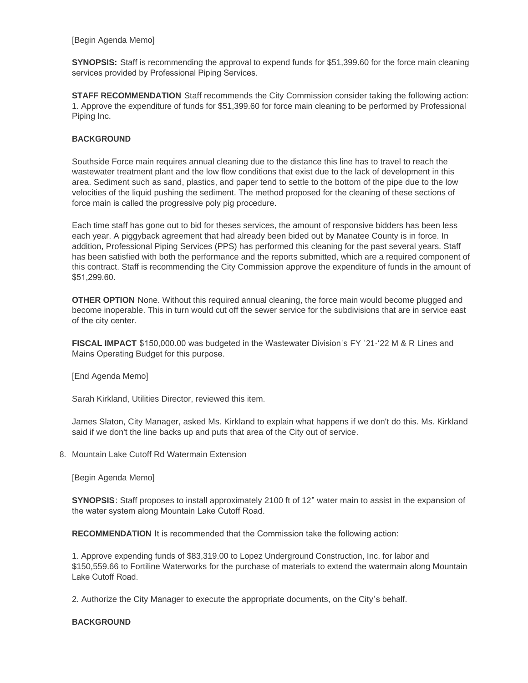[Begin Agenda Memo]

**SYNOPSIS:** Staff is recommending the approval to expend funds for \$51,399.60 for the force main cleaning services provided by Professional Piping Services.

**STAFF RECOMMENDATION** Staff recommends the City Commission consider taking the following action: 1. Approve the expenditure of funds for \$51,399.60 for force main cleaning to be performed by Professional Piping Inc.

## **BACKGROUND**

Southside Force main requires annual cleaning due to the distance this line has to travel to reach the wastewater treatment plant and the low flow conditions that exist due to the lack of development in this area. Sediment such as sand, plastics, and paper tend to settle to the bottom of the pipe due to the low velocities of the liquid pushing the sediment. The method proposed for the cleaning of these sections of force main is called the progressive poly pig procedure.

Each time staff has gone out to bid for theses services, the amount of responsive bidders has been less each year. A piggyback agreement that had already been bided out by Manatee County is in force. In addition, Professional Piping Services (PPS) has performed this cleaning for the past several years. Staff has been satisfied with both the performance and the reports submitted, which are a required component of this contract. Staff is recommending the City Commission approve the expenditure of funds in the amount of \$51,299.60.

**OTHER OPTION** None. Without this required annual cleaning, the force main would become plugged and become inoperable. This in turn would cut off the sewer service for the subdivisions that are in service east of the city center.

**FISCAL IMPACT** \$150,000.00 was budgeted in the Wastewater Division's FY '21-'22 M & R Lines and Mains Operating Budget for this purpose.

[End Agenda Memo]

Sarah Kirkland, Utilities Director, reviewed this item.

James Slaton, City Manager, asked Ms. Kirkland to explain what happens if we don't do this. Ms. Kirkland said if we don't the line backs up and puts that area of the City out of service.

8. Mountain Lake Cutoff Rd Watermain Extension

[Begin Agenda Memo]

**SYNOPSIS**: Staff proposes to install approximately 2100 ft of 12" water main to assist in the expansion of the water system along Mountain Lake Cutoff Road.

**RECOMMENDATION** It is recommended that the Commission take the following action:

1. Approve expending funds of \$83,319.00 to Lopez Underground Construction, Inc. for labor and \$150,559.66 to Fortiline Waterworks for the purchase of materials to extend the watermain along Mountain Lake Cutoff Road.

2. Authorize the City Manager to execute the appropriate documents, on the City's behalf.

## **BACKGROUND**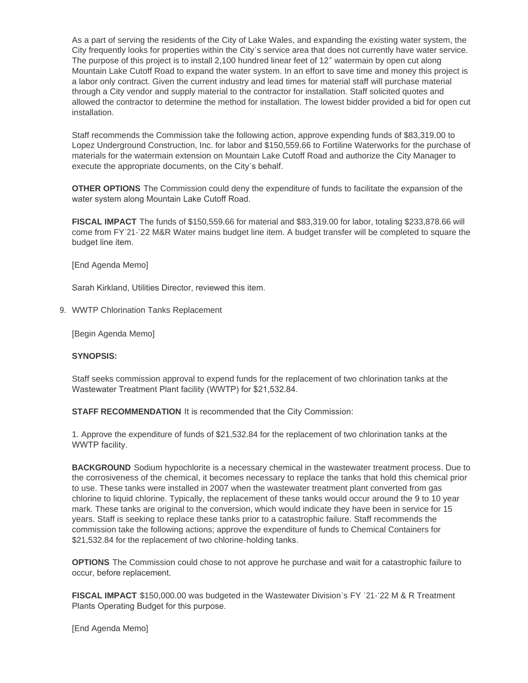As a part of serving the residents of the City of Lake Wales, and expanding the existing water system, the City frequently looks for properties within the City's service area that does not currently have water service. The purpose of this project is to install 2,100 hundred linear feet of 12" watermain by open cut along Mountain Lake Cutoff Road to expand the water system. In an effort to save time and money this project is a labor only contract. Given the current industry and lead times for material staff will purchase material through a City vendor and supply material to the contractor for installation. Staff solicited quotes and allowed the contractor to determine the method for installation. The lowest bidder provided a bid for open cut installation.

Staff recommends the Commission take the following action, approve expending funds of \$83,319.00 to Lopez Underground Construction, Inc. for labor and \$150,559.66 to Fortiline Waterworks for the purchase of materials for the watermain extension on Mountain Lake Cutoff Road and authorize the City Manager to execute the appropriate documents, on the City's behalf.

**OTHER OPTIONS** The Commission could deny the expenditure of funds to facilitate the expansion of the water system along Mountain Lake Cutoff Road.

**FISCAL IMPACT** The funds of \$150,559.66 for material and \$83,319.00 for labor, totaling \$233,878.66 will come from FY'21-'22 M&R Water mains budget line item. A budget transfer will be completed to square the budget line item.

[End Agenda Memo]

Sarah Kirkland, Utilities Director, reviewed this item.

WWTP Chlorination Tanks Replacement 9.

[Begin Agenda Memo]

#### **SYNOPSIS:**

Staff seeks commission approval to expend funds for the replacement of two chlorination tanks at the Wastewater Treatment Plant facility (WWTP) for \$21,532.84.

**STAFF RECOMMENDATION** It is recommended that the City Commission:

1. Approve the expenditure of funds of \$21,532.84 for the replacement of two chlorination tanks at the WWTP facility.

**BACKGROUND** Sodium hypochlorite is a necessary chemical in the wastewater treatment process. Due to the corrosiveness of the chemical, it becomes necessary to replace the tanks that hold this chemical prior to use. These tanks were installed in 2007 when the wastewater treatment plant converted from gas chlorine to liquid chlorine. Typically, the replacement of these tanks would occur around the 9 to 10 year mark. These tanks are original to the conversion, which would indicate they have been in service for 15 years. Staff is seeking to replace these tanks prior to a catastrophic failure. Staff recommends the commission take the following actions; approve the expenditure of funds to Chemical Containers for \$21,532.84 for the replacement of two chlorine-holding tanks.

**OPTIONS** The Commission could chose to not approve he purchase and wait for a catastrophic failure to occur, before replacement.

**FISCAL IMPACT** \$150,000.00 was budgeted in the Wastewater Division's FY '21-'22 M & R Treatment Plants Operating Budget for this purpose.

[End Agenda Memo]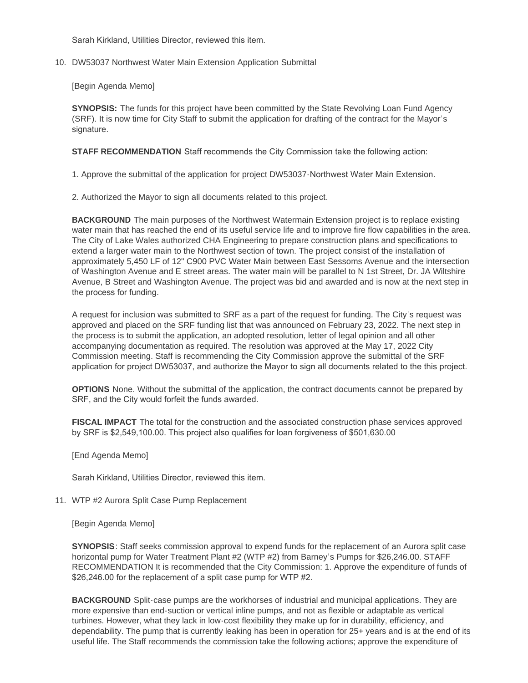Sarah Kirkland, Utilities Director, reviewed this item.

10. DW53037 Northwest Water Main Extension Application Submittal

[Begin Agenda Memo]

**SYNOPSIS:** The funds for this project have been committed by the State Revolving Loan Fund Agency (SRF). It is now time for City Staff to submit the application for drafting of the contract for the Mayor's signature.

**STAFF RECOMMENDATION** Staff recommends the City Commission take the following action:

1. Approve the submittal of the application for project DW53037-Northwest Water Main Extension.

2. Authorized the Mayor to sign all documents related to this project.

**BACKGROUND** The main purposes of the Northwest Watermain Extension project is to replace existing water main that has reached the end of its useful service life and to improve fire flow capabilities in the area. The City of Lake Wales authorized CHA Engineering to prepare construction plans and specifications to extend a larger water main to the Northwest section of town. The project consist of the installation of approximately 5,450 LF of 12" C900 PVC Water Main between East Sessoms Avenue and the intersection of Washington Avenue and E street areas. The water main will be parallel to N 1st Street, Dr. JA Wiltshire Avenue, B Street and Washington Avenue. The project was bid and awarded and is now at the next step in the process for funding.

A request for inclusion was submitted to SRF as a part of the request for funding. The City's request was approved and placed on the SRF funding list that was announced on February 23, 2022. The next step in the process is to submit the application, an adopted resolution, letter of legal opinion and all other accompanying documentation as required. The resolution was approved at the May 17, 2022 City Commission meeting. Staff is recommending the City Commission approve the submittal of the SRF application for project DW53037, and authorize the Mayor to sign all documents related to the this project.

**OPTIONS** None. Without the submittal of the application, the contract documents cannot be prepared by SRF, and the City would forfeit the funds awarded.

**FISCAL IMPACT** The total for the construction and the associated construction phase services approved by SRF is \$2,549,100.00. This project also qualifies for loan forgiveness of \$501,630.00

[End Agenda Memo]

Sarah Kirkland, Utilities Director, reviewed this item.

11. WTP #2 Aurora Split Case Pump Replacement

[Begin Agenda Memo]

**SYNOPSIS**: Staff seeks commission approval to expend funds for the replacement of an Aurora split case horizontal pump for Water Treatment Plant #2 (WTP #2) from Barney's Pumps for \$26,246.00. STAFF RECOMMENDATION It is recommended that the City Commission: 1. Approve the expenditure of funds of \$26,246.00 for the replacement of a split case pump for WTP #2.

**BACKGROUND** Split-case pumps are the workhorses of industrial and municipal applications. They are more expensive than end-suction or vertical inline pumps, and not as flexible or adaptable as vertical turbines. However, what they lack in low-cost flexibility they make up for in durability, efficiency, and dependability. The pump that is currently leaking has been in operation for 25+ years and is at the end of its useful life. The Staff recommends the commission take the following actions; approve the expenditure of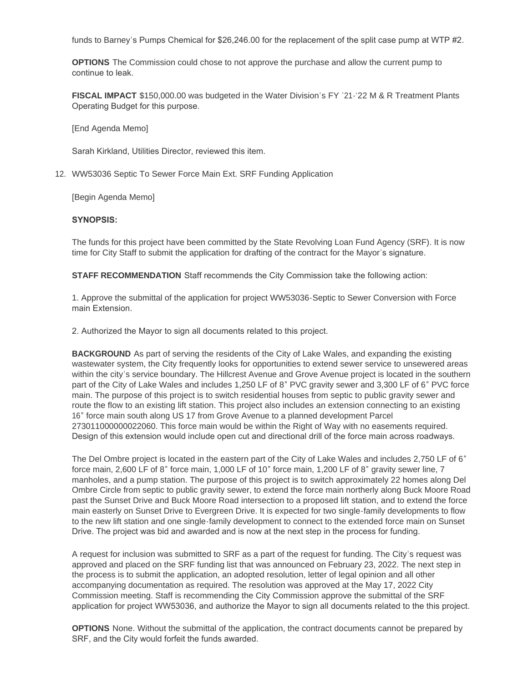funds to Barney's Pumps Chemical for \$26,246.00 for the replacement of the split case pump at WTP #2.

**OPTIONS** The Commission could chose to not approve the purchase and allow the current pump to continue to leak.

**FISCAL IMPACT** \$150,000.00 was budgeted in the Water Division's FY '21-'22 M & R Treatment Plants Operating Budget for this purpose.

[End Agenda Memo]

Sarah Kirkland, Utilities Director, reviewed this item.

WW53036 Septic To Sewer Force Main Ext. SRF Funding Application 12.

[Begin Agenda Memo]

#### **SYNOPSIS:**

The funds for this project have been committed by the State Revolving Loan Fund Agency (SRF). It is now time for City Staff to submit the application for drafting of the contract for the Mayor's signature.

**STAFF RECOMMENDATION** Staff recommends the City Commission take the following action:

1. Approve the submittal of the application for project WW53036-Septic to Sewer Conversion with Force main Extension.

2. Authorized the Mayor to sign all documents related to this project.

**BACKGROUND** As part of serving the residents of the City of Lake Wales, and expanding the existing wastewater system, the City frequently looks for opportunities to extend sewer service to unsewered areas within the city's service boundary. The Hillcrest Avenue and Grove Avenue project is located in the southern part of the City of Lake Wales and includes 1,250 LF of 8" PVC gravity sewer and 3,300 LF of 6" PVC force main. The purpose of this project is to switch residential houses from septic to public gravity sewer and route the flow to an existing lift station. This project also includes an extension connecting to an existing 16" force main south along US 17 from Grove Avenue to a planned development Parcel 273011000000022060. This force main would be within the Right of Way with no easements required. Design of this extension would include open cut and directional drill of the force main across roadways.

The Del Ombre project is located in the eastern part of the City of Lake Wales and includes 2,750 LF of 6" force main, 2,600 LF of 8" force main, 1,000 LF of 10" force main, 1,200 LF of 8" gravity sewer line, 7 manholes, and a pump station. The purpose of this project is to switch approximately 22 homes along Del Ombre Circle from septic to public gravity sewer, to extend the force main northerly along Buck Moore Road past the Sunset Drive and Buck Moore Road intersection to a proposed lift station, and to extend the force main easterly on Sunset Drive to Evergreen Drive. It is expected for two single-family developments to flow to the new lift station and one single-family development to connect to the extended force main on Sunset Drive. The project was bid and awarded and is now at the next step in the process for funding.

A request for inclusion was submitted to SRF as a part of the request for funding. The City's request was approved and placed on the SRF funding list that was announced on February 23, 2022. The next step in the process is to submit the application, an adopted resolution, letter of legal opinion and all other accompanying documentation as required. The resolution was approved at the May 17, 2022 City Commission meeting. Staff is recommending the City Commission approve the submittal of the SRF application for project WW53036, and authorize the Mayor to sign all documents related to the this project.

**OPTIONS** None. Without the submittal of the application, the contract documents cannot be prepared by SRF, and the City would forfeit the funds awarded.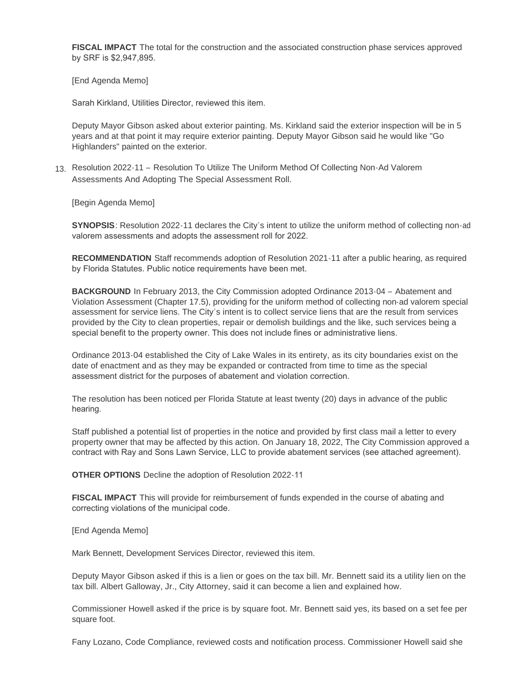**FISCAL IMPACT** The total for the construction and the associated construction phase services approved by SRF is \$2,947,895.

[End Agenda Memo]

Sarah Kirkland, Utilities Director, reviewed this item.

Deputy Mayor Gibson asked about exterior painting. Ms. Kirkland said the exterior inspection will be in 5 years and at that point it may require exterior painting. Deputy Mayor Gibson said he would like "Go Highlanders" painted on the exterior.

Resolution 2022-11 – Resolution To Utilize The Uniform Method Of Collecting Non-Ad Valorem 13. Assessments And Adopting The Special Assessment Roll.

[Begin Agenda Memo]

**SYNOPSIS:** Resolution 2022-11 declares the City's intent to utilize the uniform method of collecting non-ad valorem assessments and adopts the assessment roll for 2022.

**RECOMMENDATION** Staff recommends adoption of Resolution 2021-11 after a public hearing, as required by Florida Statutes. Public notice requirements have been met.

**BACKGROUND** In February 2013, the City Commission adopted Ordinance 2013-04 – Abatement and Violation Assessment (Chapter 17.5), providing for the uniform method of collecting non-ad valorem special assessment for service liens. The City's intent is to collect service liens that are the result from services provided by the City to clean properties, repair or demolish buildings and the like, such services being a special benefit to the property owner. This does not include fines or administrative liens.

Ordinance 2013-04 established the City of Lake Wales in its entirety, as its city boundaries exist on the date of enactment and as they may be expanded or contracted from time to time as the special assessment district for the purposes of abatement and violation correction.

The resolution has been noticed per Florida Statute at least twenty (20) days in advance of the public hearing.

Staff published a potential list of properties in the notice and provided by first class mail a letter to every property owner that may be affected by this action. On January 18, 2022, The City Commission approved a contract with Ray and Sons Lawn Service, LLC to provide abatement services (see attached agreement).

**OTHER OPTIONS** Decline the adoption of Resolution 2022-11

**FISCAL IMPACT** This will provide for reimbursement of funds expended in the course of abating and correcting violations of the municipal code.

[End Agenda Memo]

Mark Bennett, Development Services Director, reviewed this item.

Deputy Mayor Gibson asked if this is a lien or goes on the tax bill. Mr. Bennett said its a utility lien on the tax bill. Albert Galloway, Jr., City Attorney, said it can become a lien and explained how.

Commissioner Howell asked if the price is by square foot. Mr. Bennett said yes, its based on a set fee per square foot.

Fany Lozano, Code Compliance, reviewed costs and notification process. Commissioner Howell said she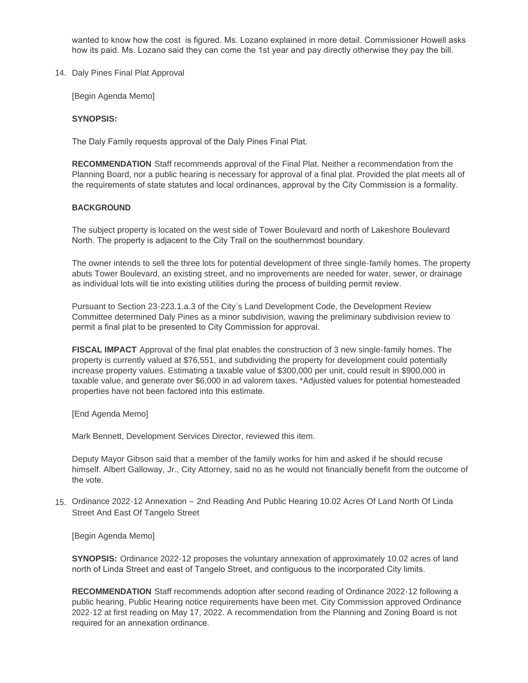wanted to know how the cost is figured. Ms. Lozano explained in more detail. Commissioner Howell asks how its paid. Ms. Lozano said they can come the 1st year and pay directly otherwise they pay the bill.

14. Daly Pines Final Plat Approval

[Begin Agenda Memo]

#### **SYNOPSIS:**

The Daly Family requests approval of the Daly Pines Final Plat.

**RECOMMENDATION** Staff recommends approval of the Final Plat. Neither a recommendation from the Planning Board, nor a public hearing is necessary for approval of a final plat. Provided the plat meets all of the requirements of state statutes and local ordinances, approval by the City Commission is a formality.

#### **BACKGROUND**

The subject property is located on the west side of Tower Boulevard and north of Lakeshore Boulevard North. The property is adjacent to the City Trail on the southernmost boundary.

The owner intends to sell the three lots for potential development of three single-family homes. The property abuts Tower Boulevard, an existing street, and no improvements are needed for water, sewer, or drainage as individual lots will tie into existing utilities during the process of building permit review.

Pursuant to Section 23-223.1.a.3 of the City's Land Development Code, the Development Review Committee determined Daly Pines as a minor subdivision, waving the preliminary subdivision review to permit a final plat to be presented to City Commission for approval.

**FISCAL IMPACT** Approval of the final plat enables the construction of 3 new single-family homes. The property is currently valued at \$76,551, and subdividing the property for development could potentially increase property values. Estimating a taxable value of \$300,000 per unit, could result in \$900,000 in taxable value, and generate over \$6,000 in ad valorem taxes. \*Adjusted values for potential homesteaded properties have not been factored into this estimate.

[End Agenda Memo]

Mark Bennett, Development Services Director, reviewed this item.

Deputy Mayor Gibson said that a member of the family works for him and asked if he should recuse himself. Albert Galloway, Jr., City Attorney, said no as he would not financially benefit from the outcome of the vote.

Ordinance 2022-12 Annexation – 2nd Reading And Public Hearing 10.02 Acres Of Land North Of Linda 15. Street And East Of Tangelo Street

[Begin Agenda Memo]

**SYNOPSIS:** Ordinance 2022-12 proposes the voluntary annexation of approximately 10.02 acres of land north of Linda Street and east of Tangelo Street, and contiguous to the incorporated City limits.

**RECOMMENDATION** Staff recommends adoption after second reading of Ordinance 2022-12 following a public hearing. Public Hearing notice requirements have been met. City Commission approved Ordinance 2022-12 at first reading on May 17, 2022. A recommendation from the Planning and Zoning Board is not required for an annexation ordinance.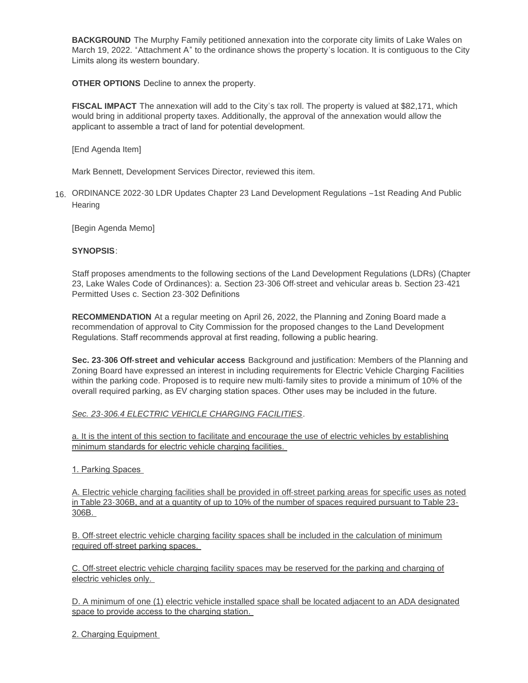**BACKGROUND** The Murphy Family petitioned annexation into the corporate city limits of Lake Wales on March 19, 2022. "Attachment A" to the ordinance shows the property's location. It is contiguous to the City Limits along its western boundary.

**OTHER OPTIONS** Decline to annex the property.

**FISCAL IMPACT** The annexation will add to the City's tax roll. The property is valued at \$82,171, which would bring in additional property taxes. Additionally, the approval of the annexation would allow the applicant to assemble a tract of land for potential development.

[End Agenda Item]

Mark Bennett, Development Services Director, reviewed this item.

ORDINANCE 2022-30 LDR Updates Chapter 23 Land Development Regulations –1st Reading And Public 16. **Hearing** 

[Begin Agenda Memo]

# **SYNOPSIS**:

Staff proposes amendments to the following sections of the Land Development Regulations (LDRs) (Chapter 23, Lake Wales Code of Ordinances): a. Section 23-306 Off-street and vehicular areas b. Section 23-421 Permitted Uses c. Section 23-302 Definitions

**RECOMMENDATION** At a regular meeting on April 26, 2022, the Planning and Zoning Board made a recommendation of approval to City Commission for the proposed changes to the Land Development Regulations. Staff recommends approval at first reading, following a public hearing.

**Sec. 23-306 Off-street and vehicular access** Background and justification: Members of the Planning and Zoning Board have expressed an interest in including requirements for Electric Vehicle Charging Facilities within the parking code. Proposed is to require new multi-family sites to provide a minimum of 10% of the overall required parking, as EV charging station spaces. Other uses may be included in the future.

## *Sec. 23-306.4 ELECTRIC VEHICLE CHARGING FACILITIES*.

a. It is the intent of this section to facilitate and encourage the use of electric vehicles by establishing minimum standards for electric vehicle charging facilities.

## 1. Parking Spaces

A. Electric vehicle charging facilities shall be provided in off-street parking areas for specific uses as noted in Table 23-306B, and at a quantity of up to 10% of the number of spaces required pursuant to Table 23- 306B.

B. Off-street electric vehicle charging facility spaces shall be included in the calculation of minimum required off-street parking spaces.

C. Off-street electric vehicle charging facility spaces may be reserved for the parking and charging of electric vehicles only.

D. A minimum of one (1) electric vehicle installed space shall be located adjacent to an ADA designated space to provide access to the charging station.

2. Charging Equipment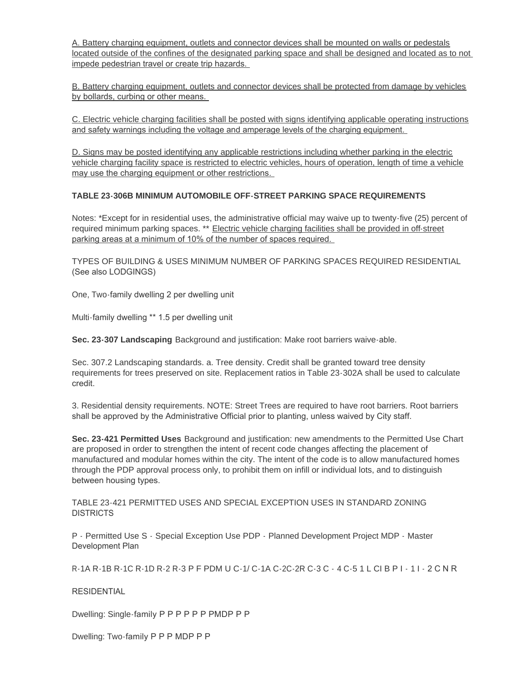A. Battery charging equipment, outlets and connector devices shall be mounted on walls or pedestals located outside of the confines of the designated parking space and shall be designed and located as to not impede pedestrian travel or create trip hazards.

B. Battery charging equipment, outlets and connector devices shall be protected from damage by vehicles by bollards, curbing or other means.

C. Electric vehicle charging facilities shall be posted with signs identifying applicable operating instructions and safety warnings including the voltage and amperage levels of the charging equipment.

D. Signs may be posted identifying any applicable restrictions including whether parking in the electric vehicle charging facility space is restricted to electric vehicles, hours of operation, length of time a vehicle may use the charging equipment or other restrictions.

# **TABLE 23-306B MINIMUM AUTOMOBILE OFF-STREET PARKING SPACE REQUIREMENTS**

Notes: \*Except for in residential uses, the administrative official may waive up to twenty-five (25) percent of required minimum parking spaces. \*\* Electric vehicle charging facilities shall be provided in off-street parking areas at a minimum of 10% of the number of spaces required.

TYPES OF BUILDING & USES MINIMUM NUMBER OF PARKING SPACES REQUIRED RESIDENTIAL (See also LODGINGS)

One, Two-family dwelling 2 per dwelling unit

Multi-family dwelling \*\* 1.5 per dwelling unit

**Sec. 23-307 Landscaping** Background and justification: Make root barriers waive-able.

Sec. 307.2 Landscaping standards. a. Tree density. Credit shall be granted toward tree density requirements for trees preserved on site. Replacement ratios in Table 23-302A shall be used to calculate credit.

3. Residential density requirements. NOTE: Street Trees are required to have root barriers. Root barriers shall be approved by the Administrative Official prior to planting, unless waived by City staff.

**Sec. 23-421 Permitted Uses** Background and justification: new amendments to the Permitted Use Chart are proposed in order to strengthen the intent of recent code changes affecting the placement of manufactured and modular homes within the city. The intent of the code is to allow manufactured homes through the PDP approval process only, to prohibit them on infill or individual lots, and to distinguish between housing types.

TABLE 23-421 PERMITTED USES AND SPECIAL EXCEPTION USES IN STANDARD ZONING DISTRICTS

P - Permitted Use S - Special Exception Use PDP - Planned Development Project MDP - Master Development Plan

R-1A R-1B R-1C R-1D R-2 R-3 P F PDM U C-1/ C-1A C-2C-2R C-3 C - 4 C-5 1 L CI B P I - 1 I - 2 C N R

RESIDENTIAL

Dwelling: Single-family P P P P P P PMDP P P

Dwelling: Two-family P P P MDP P P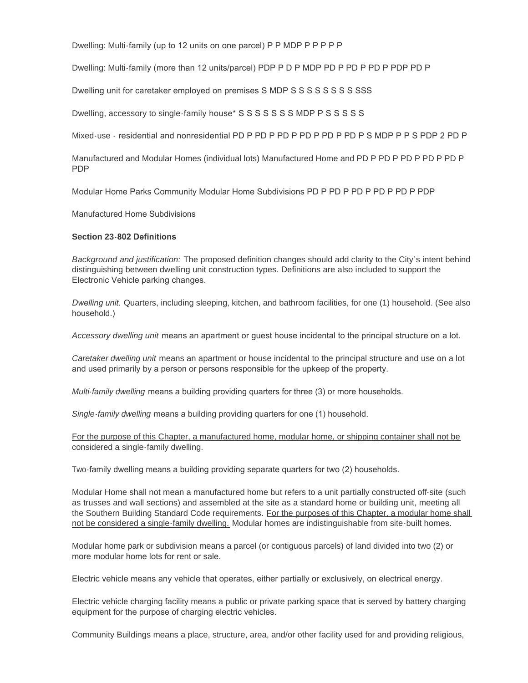Dwelling: Multi-family (up to 12 units on one parcel) P P MDP P P P P P

Dwelling: Multi-family (more than 12 units/parcel) PDP P D P MDP PD P PD P PD P PDP PD P

Dwelling unit for caretaker employed on premises S MDP S S S S S S S S S SSS

Dwelling, accessory to single-family house\* S S S S S S S MDP P S S S S S

Mixed-use - residential and nonresidential PD P PD P PD P PD P PD P PD P S MDP P P S PDP 2 PD P

Manufactured and Modular Homes (individual lots) Manufactured Home and PD P PD P PD P PD P PD P PDP

Modular Home Parks Community Modular Home Subdivisions PD P PD P PD P PD P PD P PDP

Manufactured Home Subdivisions

## **Section 23-802 Definitions**

*Background and justification:* The proposed definition changes should add clarity to the City's intent behind distinguishing between dwelling unit construction types. Definitions are also included to support the Electronic Vehicle parking changes.

*Dwelling unit.* Quarters, including sleeping, kitchen, and bathroom facilities, for one (1) household. (See also household.)

*Accessory dwelling unit* means an apartment or guest house incidental to the principal structure on a lot.

*Caretaker dwelling unit* means an apartment or house incidental to the principal structure and use on a lot and used primarily by a person or persons responsible for the upkeep of the property.

*Multi-family dwelling* means a building providing quarters for three (3) or more households.

*Single-family dwelling* means a building providing quarters for one (1) household.

For the purpose of this Chapter, a manufactured home, modular home, or shipping container shall not be considered a single-family dwelling.

Two-family dwelling means a building providing separate quarters for two (2) households.

Modular Home shall not mean a manufactured home but refers to a unit partially constructed off-site (such as trusses and wall sections) and assembled at the site as a standard home or building unit, meeting all the Southern Building Standard Code requirements. For the purposes of this Chapter, a modular home shall not be considered a single-family dwelling. Modular homes are indistinguishable from site-built homes.

Modular home park or subdivision means a parcel (or contiguous parcels) of land divided into two (2) or more modular home lots for rent or sale.

Electric vehicle means any vehicle that operates, either partially or exclusively, on electrical energy.

Electric vehicle charging facility means a public or private parking space that is served by battery charging equipment for the purpose of charging electric vehicles.

Community Buildings means a place, structure, area, and/or other facility used for and providing religious,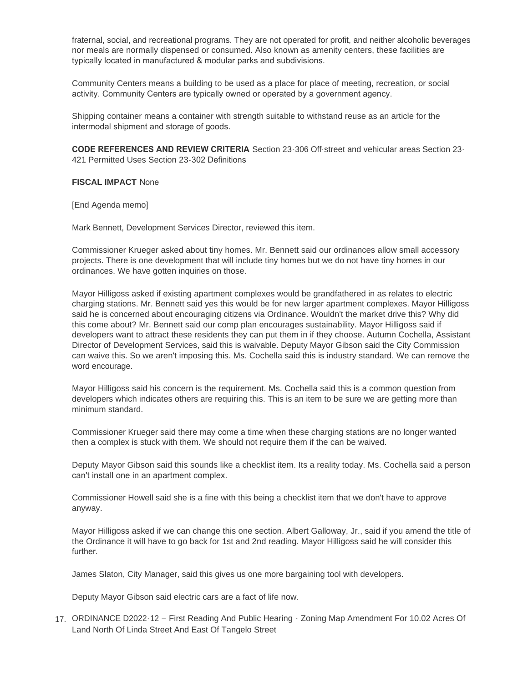fraternal, social, and recreational programs. They are not operated for profit, and neither alcoholic beverages nor meals are normally dispensed or consumed. Also known as amenity centers, these facilities are typically located in manufactured & modular parks and subdivisions.

Community Centers means a building to be used as a place for place of meeting, recreation, or social activity. Community Centers are typically owned or operated by a government agency.

Shipping container means a container with strength suitable to withstand reuse as an article for the intermodal shipment and storage of goods.

**CODE REFERENCES AND REVIEW CRITERIA** Section 23-306 Off-street and vehicular areas Section 23- 421 Permitted Uses Section 23-302 Definitions

**FISCAL IMPACT** None

[End Agenda memo]

Mark Bennett, Development Services Director, reviewed this item.

Commissioner Krueger asked about tiny homes. Mr. Bennett said our ordinances allow small accessory projects. There is one development that will include tiny homes but we do not have tiny homes in our ordinances. We have gotten inquiries on those.

Mayor Hilligoss asked if existing apartment complexes would be grandfathered in as relates to electric charging stations. Mr. Bennett said yes this would be for new larger apartment complexes. Mayor Hilligoss said he is concerned about encouraging citizens via Ordinance. Wouldn't the market drive this? Why did this come about? Mr. Bennett said our comp plan encourages sustainability. Mayor Hilligoss said if developers want to attract these residents they can put them in if they choose. Autumn Cochella, Assistant Director of Development Services, said this is waivable. Deputy Mayor Gibson said the City Commission can waive this. So we aren't imposing this. Ms. Cochella said this is industry standard. We can remove the word encourage.

Mayor Hilligoss said his concern is the requirement. Ms. Cochella said this is a common question from developers which indicates others are requiring this. This is an item to be sure we are getting more than minimum standard.

Commissioner Krueger said there may come a time when these charging stations are no longer wanted then a complex is stuck with them. We should not require them if the can be waived.

Deputy Mayor Gibson said this sounds like a checklist item. Its a reality today. Ms. Cochella said a person can't install one in an apartment complex.

Commissioner Howell said she is a fine with this being a checklist item that we don't have to approve anyway.

Mayor Hilligoss asked if we can change this one section. Albert Galloway, Jr., said if you amend the title of the Ordinance it will have to go back for 1st and 2nd reading. Mayor Hilligoss said he will consider this further.

James Slaton, City Manager, said this gives us one more bargaining tool with developers.

Deputy Mayor Gibson said electric cars are a fact of life now.

ORDINANCE D2022-12 – First Reading And Public Hearing - Zoning Map Amendment For 10.02 Acres Of 17. Land North Of Linda Street And East Of Tangelo Street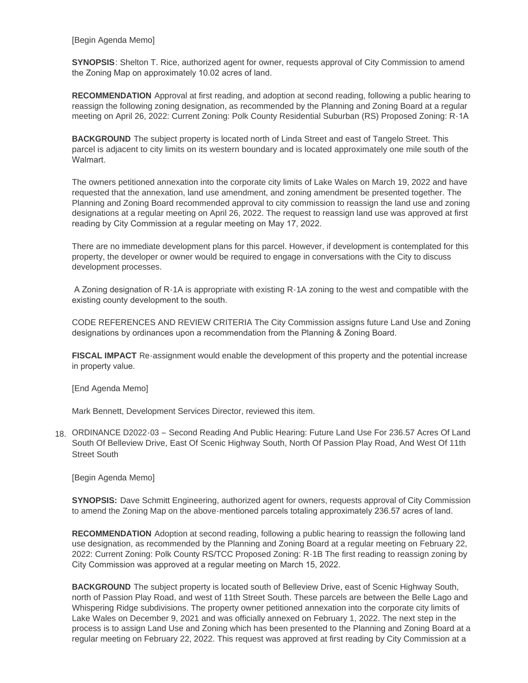[Begin Agenda Memo]

**SYNOPSIS**: Shelton T. Rice, authorized agent for owner, requests approval of City Commission to amend the Zoning Map on approximately 10.02 acres of land.

**RECOMMENDATION** Approval at first reading, and adoption at second reading, following a public hearing to reassign the following zoning designation, as recommended by the Planning and Zoning Board at a regular meeting on April 26, 2022: Current Zoning: Polk County Residential Suburban (RS) Proposed Zoning: R-1A

**BACKGROUND** The subject property is located north of Linda Street and east of Tangelo Street. This parcel is adjacent to city limits on its western boundary and is located approximately one mile south of the **Walmart** 

The owners petitioned annexation into the corporate city limits of Lake Wales on March 19, 2022 and have requested that the annexation, land use amendment, and zoning amendment be presented together. The Planning and Zoning Board recommended approval to city commission to reassign the land use and zoning designations at a regular meeting on April 26, 2022. The request to reassign land use was approved at first reading by City Commission at a regular meeting on May 17, 2022.

There are no immediate development plans for this parcel. However, if development is contemplated for this property, the developer or owner would be required to engage in conversations with the City to discuss development processes.

 A Zoning designation of R-1A is appropriate with existing R-1A zoning to the west and compatible with the existing county development to the south.

CODE REFERENCES AND REVIEW CRITERIA The City Commission assigns future Land Use and Zoning designations by ordinances upon a recommendation from the Planning & Zoning Board.

**FISCAL IMPACT** Re-assignment would enable the development of this property and the potential increase in property value.

[End Agenda Memo]

Mark Bennett, Development Services Director, reviewed this item.

ORDINANCE D2022-03 – Second Reading And Public Hearing: Future Land Use For 236.57 Acres Of Land 18. South Of Belleview Drive, East Of Scenic Highway South, North Of Passion Play Road, And West Of 11th Street South

[Begin Agenda Memo]

**SYNOPSIS:** Dave Schmitt Engineering, authorized agent for owners, requests approval of City Commission to amend the Zoning Map on the above-mentioned parcels totaling approximately 236.57 acres of land.

**RECOMMENDATION** Adoption at second reading, following a public hearing to reassign the following land use designation, as recommended by the Planning and Zoning Board at a regular meeting on February 22, 2022: Current Zoning: Polk County RS/TCC Proposed Zoning: R-1B The first reading to reassign zoning by City Commission was approved at a regular meeting on March 15, 2022.

**BACKGROUND** The subject property is located south of Belleview Drive, east of Scenic Highway South, north of Passion Play Road, and west of 11th Street South. These parcels are between the Belle Lago and Whispering Ridge subdivisions. The property owner petitioned annexation into the corporate city limits of Lake Wales on December 9, 2021 and was officially annexed on February 1, 2022. The next step in the process is to assign Land Use and Zoning which has been presented to the Planning and Zoning Board at a regular meeting on February 22, 2022. This request was approved at first reading by City Commission at a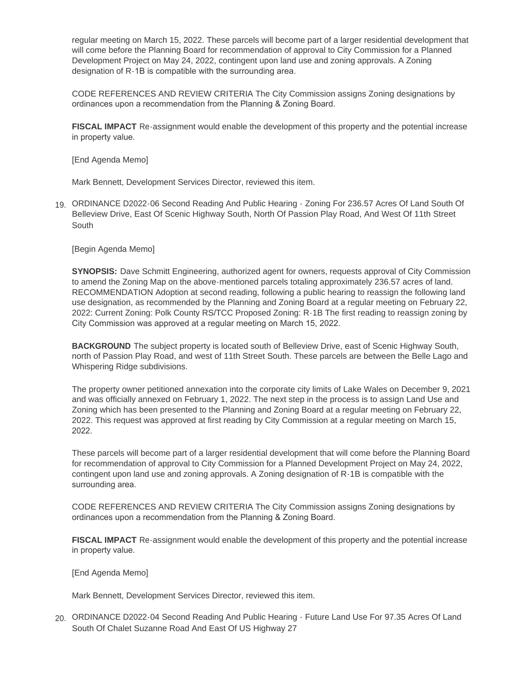regular meeting on March 15, 2022. These parcels will become part of a larger residential development that will come before the Planning Board for recommendation of approval to City Commission for a Planned Development Project on May 24, 2022, contingent upon land use and zoning approvals. A Zoning designation of R-1B is compatible with the surrounding area.

CODE REFERENCES AND REVIEW CRITERIA The City Commission assigns Zoning designations by ordinances upon a recommendation from the Planning & Zoning Board.

**FISCAL IMPACT** Re-assignment would enable the development of this property and the potential increase in property value.

[End Agenda Memo]

Mark Bennett, Development Services Director, reviewed this item.

ORDINANCE D2022-06 Second Reading And Public Hearing - Zoning For 236.57 Acres Of Land South Of 19. Belleview Drive, East Of Scenic Highway South, North Of Passion Play Road, And West Of 11th Street **South** 

[Begin Agenda Memo]

**SYNOPSIS:** Dave Schmitt Engineering, authorized agent for owners, requests approval of City Commission to amend the Zoning Map on the above-mentioned parcels totaling approximately 236.57 acres of land. RECOMMENDATION Adoption at second reading, following a public hearing to reassign the following land use designation, as recommended by the Planning and Zoning Board at a regular meeting on February 22, 2022: Current Zoning: Polk County RS/TCC Proposed Zoning: R-1B The first reading to reassign zoning by City Commission was approved at a regular meeting on March 15, 2022.

**BACKGROUND** The subject property is located south of Belleview Drive, east of Scenic Highway South, north of Passion Play Road, and west of 11th Street South. These parcels are between the Belle Lago and Whispering Ridge subdivisions.

The property owner petitioned annexation into the corporate city limits of Lake Wales on December 9, 2021 and was officially annexed on February 1, 2022. The next step in the process is to assign Land Use and Zoning which has been presented to the Planning and Zoning Board at a regular meeting on February 22, 2022. This request was approved at first reading by City Commission at a regular meeting on March 15, 2022.

These parcels will become part of a larger residential development that will come before the Planning Board for recommendation of approval to City Commission for a Planned Development Project on May 24, 2022, contingent upon land use and zoning approvals. A Zoning designation of R-1B is compatible with the surrounding area.

CODE REFERENCES AND REVIEW CRITERIA The City Commission assigns Zoning designations by ordinances upon a recommendation from the Planning & Zoning Board.

**FISCAL IMPACT** Re-assignment would enable the development of this property and the potential increase in property value.

[End Agenda Memo]

Mark Bennett, Development Services Director, reviewed this item.

20. ORDINANCE D2022-04 Second Reading And Public Hearing - Future Land Use For 97.35 Acres Of Land South Of Chalet Suzanne Road And East Of US Highway 27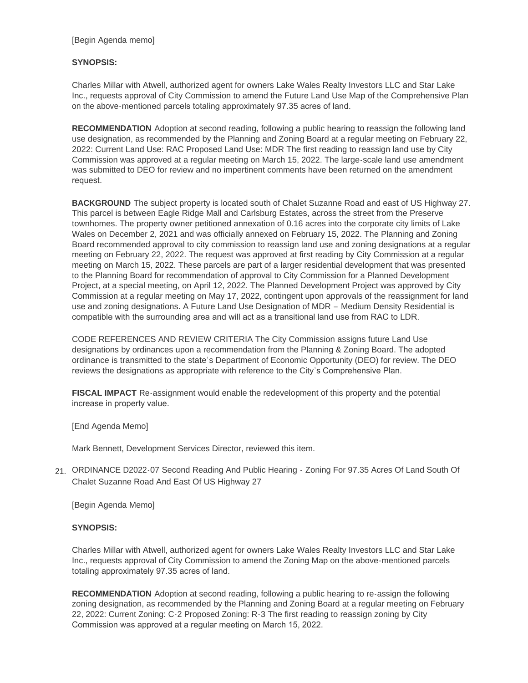## **SYNOPSIS:**

Charles Millar with Atwell, authorized agent for owners Lake Wales Realty Investors LLC and Star Lake Inc., requests approval of City Commission to amend the Future Land Use Map of the Comprehensive Plan on the above-mentioned parcels totaling approximately 97.35 acres of land.

**RECOMMENDATION** Adoption at second reading, following a public hearing to reassign the following land use designation, as recommended by the Planning and Zoning Board at a regular meeting on February 22, 2022: Current Land Use: RAC Proposed Land Use: MDR The first reading to reassign land use by City Commission was approved at a regular meeting on March 15, 2022. The large-scale land use amendment was submitted to DEO for review and no impertinent comments have been returned on the amendment request.

**BACKGROUND** The subject property is located south of Chalet Suzanne Road and east of US Highway 27. This parcel is between Eagle Ridge Mall and Carlsburg Estates, across the street from the Preserve townhomes. The property owner petitioned annexation of 0.16 acres into the corporate city limits of Lake Wales on December 2, 2021 and was officially annexed on February 15, 2022. The Planning and Zoning Board recommended approval to city commission to reassign land use and zoning designations at a regular meeting on February 22, 2022. The request was approved at first reading by City Commission at a regular meeting on March 15, 2022. These parcels are part of a larger residential development that was presented to the Planning Board for recommendation of approval to City Commission for a Planned Development Project, at a special meeting, on April 12, 2022. The Planned Development Project was approved by City Commission at a regular meeting on May 17, 2022, contingent upon approvals of the reassignment for land use and zoning designations. A Future Land Use Designation of MDR – Medium Density Residential is compatible with the surrounding area and will act as a transitional land use from RAC to LDR.

CODE REFERENCES AND REVIEW CRITERIA The City Commission assigns future Land Use designations by ordinances upon a recommendation from the Planning & Zoning Board. The adopted ordinance is transmitted to the state's Department of Economic Opportunity (DEO) for review. The DEO reviews the designations as appropriate with reference to the City's Comprehensive Plan.

**FISCAL IMPACT** Re-assignment would enable the redevelopment of this property and the potential increase in property value.

[End Agenda Memo]

Mark Bennett, Development Services Director, reviewed this item.

21. ORDINANCE D2022-07 Second Reading And Public Hearing - Zoning For 97.35 Acres Of Land South Of Chalet Suzanne Road And East Of US Highway 27

[Begin Agenda Memo]

## **SYNOPSIS:**

Charles Millar with Atwell, authorized agent for owners Lake Wales Realty Investors LLC and Star Lake Inc., requests approval of City Commission to amend the Zoning Map on the above-mentioned parcels totaling approximately 97.35 acres of land.

**RECOMMENDATION** Adoption at second reading, following a public hearing to re-assign the following zoning designation, as recommended by the Planning and Zoning Board at a regular meeting on February 22, 2022: Current Zoning: C-2 Proposed Zoning: R-3 The first reading to reassign zoning by City Commission was approved at a regular meeting on March 15, 2022.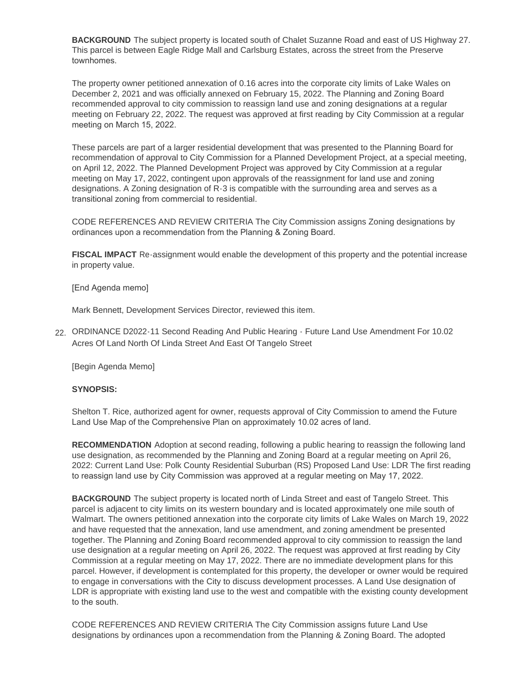**BACKGROUND** The subject property is located south of Chalet Suzanne Road and east of US Highway 27. This parcel is between Eagle Ridge Mall and Carlsburg Estates, across the street from the Preserve townhomes.

The property owner petitioned annexation of 0.16 acres into the corporate city limits of Lake Wales on December 2, 2021 and was officially annexed on February 15, 2022. The Planning and Zoning Board recommended approval to city commission to reassign land use and zoning designations at a regular meeting on February 22, 2022. The request was approved at first reading by City Commission at a regular meeting on March 15, 2022.

These parcels are part of a larger residential development that was presented to the Planning Board for recommendation of approval to City Commission for a Planned Development Project, at a special meeting, on April 12, 2022. The Planned Development Project was approved by City Commission at a regular meeting on May 17, 2022, contingent upon approvals of the reassignment for land use and zoning designations. A Zoning designation of R-3 is compatible with the surrounding area and serves as a transitional zoning from commercial to residential.

CODE REFERENCES AND REVIEW CRITERIA The City Commission assigns Zoning designations by ordinances upon a recommendation from the Planning & Zoning Board.

**FISCAL IMPACT** Re-assignment would enable the development of this property and the potential increase in property value.

[End Agenda memo]

Mark Bennett, Development Services Director, reviewed this item.

ORDINANCE D2022-11 Second Reading And Public Hearing - Future Land Use Amendment For 10.02 22. Acres Of Land North Of Linda Street And East Of Tangelo Street

[Begin Agenda Memo]

#### **SYNOPSIS:**

Shelton T. Rice, authorized agent for owner, requests approval of City Commission to amend the Future Land Use Map of the Comprehensive Plan on approximately 10.02 acres of land.

**RECOMMENDATION** Adoption at second reading, following a public hearing to reassign the following land use designation, as recommended by the Planning and Zoning Board at a regular meeting on April 26, 2022: Current Land Use: Polk County Residential Suburban (RS) Proposed Land Use: LDR The first reading to reassign land use by City Commission was approved at a regular meeting on May 17, 2022.

**BACKGROUND** The subject property is located north of Linda Street and east of Tangelo Street. This parcel is adjacent to city limits on its western boundary and is located approximately one mile south of Walmart. The owners petitioned annexation into the corporate city limits of Lake Wales on March 19, 2022 and have requested that the annexation, land use amendment, and zoning amendment be presented together. The Planning and Zoning Board recommended approval to city commission to reassign the land use designation at a regular meeting on April 26, 2022. The request was approved at first reading by City Commission at a regular meeting on May 17, 2022. There are no immediate development plans for this parcel. However, if development is contemplated for this property, the developer or owner would be required to engage in conversations with the City to discuss development processes. A Land Use designation of LDR is appropriate with existing land use to the west and compatible with the existing county development to the south.

CODE REFERENCES AND REVIEW CRITERIA The City Commission assigns future Land Use designations by ordinances upon a recommendation from the Planning & Zoning Board. The adopted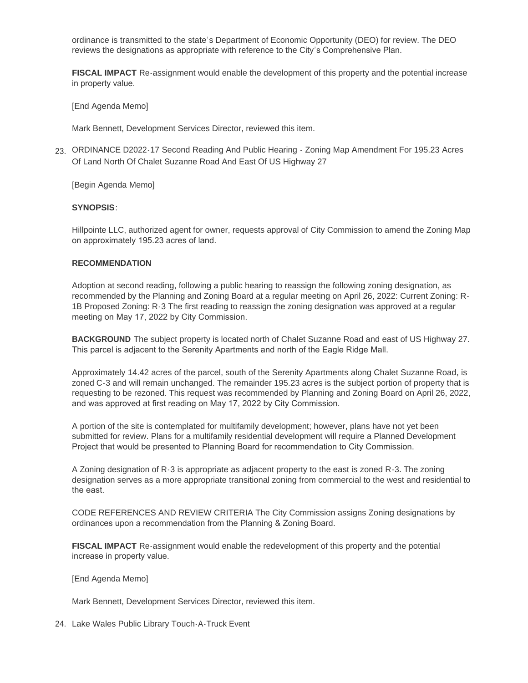ordinance is transmitted to the state's Department of Economic Opportunity (DEO) for review. The DEO reviews the designations as appropriate with reference to the City's Comprehensive Plan.

**FISCAL IMPACT** Re-assignment would enable the development of this property and the potential increase in property value.

[End Agenda Memo]

Mark Bennett, Development Services Director, reviewed this item.

ORDINANCE D2022-17 Second Reading And Public Hearing - Zoning Map Amendment For 195.23 Acres 23. Of Land North Of Chalet Suzanne Road And East Of US Highway 27

[Begin Agenda Memo]

# **SYNOPSIS**:

Hillpointe LLC, authorized agent for owner, requests approval of City Commission to amend the Zoning Map on approximately 195.23 acres of land.

## **RECOMMENDATION**

Adoption at second reading, following a public hearing to reassign the following zoning designation, as recommended by the Planning and Zoning Board at a regular meeting on April 26, 2022: Current Zoning: R-1B Proposed Zoning: R-3 The first reading to reassign the zoning designation was approved at a regular meeting on May 17, 2022 by City Commission.

**BACKGROUND** The subject property is located north of Chalet Suzanne Road and east of US Highway 27. This parcel is adjacent to the Serenity Apartments and north of the Eagle Ridge Mall.

Approximately 14.42 acres of the parcel, south of the Serenity Apartments along Chalet Suzanne Road, is zoned C-3 and will remain unchanged. The remainder 195.23 acres is the subject portion of property that is requesting to be rezoned. This request was recommended by Planning and Zoning Board on April 26, 2022, and was approved at first reading on May 17, 2022 by City Commission.

A portion of the site is contemplated for multifamily development; however, plans have not yet been submitted for review. Plans for a multifamily residential development will require a Planned Development Project that would be presented to Planning Board for recommendation to City Commission.

A Zoning designation of R-3 is appropriate as adjacent property to the east is zoned R-3. The zoning designation serves as a more appropriate transitional zoning from commercial to the west and residential to the east.

CODE REFERENCES AND REVIEW CRITERIA The City Commission assigns Zoning designations by ordinances upon a recommendation from the Planning & Zoning Board.

**FISCAL IMPACT** Re-assignment would enable the redevelopment of this property and the potential increase in property value.

## [End Agenda Memo]

Mark Bennett, Development Services Director, reviewed this item.

24. Lake Wales Public Library Touch-A-Truck Event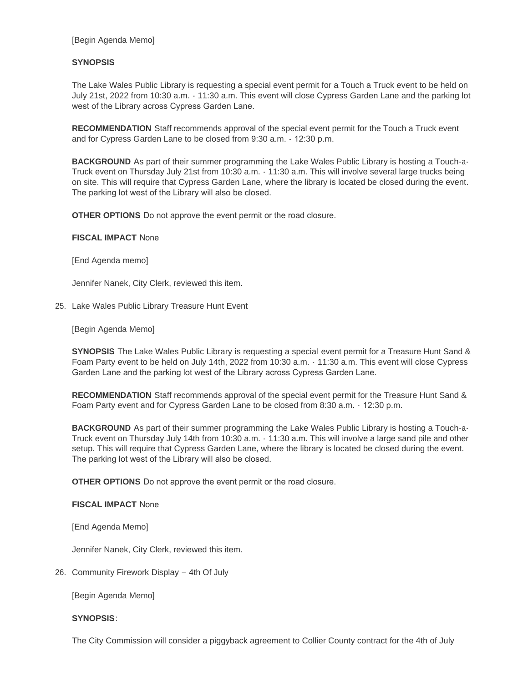[Begin Agenda Memo]

## **SYNOPSIS**

The Lake Wales Public Library is requesting a special event permit for a Touch a Truck event to be held on July 21st, 2022 from 10:30 a.m. - 11:30 a.m. This event will close Cypress Garden Lane and the parking lot west of the Library across Cypress Garden Lane.

**RECOMMENDATION** Staff recommends approval of the special event permit for the Touch a Truck event and for Cypress Garden Lane to be closed from 9:30 a.m. - 12:30 p.m.

**BACKGROUND** As part of their summer programming the Lake Wales Public Library is hosting a Touch-a-Truck event on Thursday July 21st from 10:30 a.m. - 11:30 a.m. This will involve several large trucks being on site. This will require that Cypress Garden Lane, where the library is located be closed during the event. The parking lot west of the Library will also be closed.

**OTHER OPTIONS** Do not approve the event permit or the road closure.

**FISCAL IMPACT** None

[End Agenda memo]

Jennifer Nanek, City Clerk, reviewed this item.

25. Lake Wales Public Library Treasure Hunt Event

[Begin Agenda Memo]

**SYNOPSIS** The Lake Wales Public Library is requesting a special event permit for a Treasure Hunt Sand & Foam Party event to be held on July 14th, 2022 from 10:30 a.m. - 11:30 a.m. This event will close Cypress Garden Lane and the parking lot west of the Library across Cypress Garden Lane.

**RECOMMENDATION** Staff recommends approval of the special event permit for the Treasure Hunt Sand & Foam Party event and for Cypress Garden Lane to be closed from 8:30 a.m. - 12:30 p.m.

**BACKGROUND** As part of their summer programming the Lake Wales Public Library is hosting a Touch-a-Truck event on Thursday July 14th from 10:30 a.m. - 11:30 a.m. This will involve a large sand pile and other setup. This will require that Cypress Garden Lane, where the library is located be closed during the event. The parking lot west of the Library will also be closed.

**OTHER OPTIONS** Do not approve the event permit or the road closure.

#### **FISCAL IMPACT** None

[End Agenda Memo]

Jennifer Nanek, City Clerk, reviewed this item.

26. Community Firework Display - 4th Of July

[Begin Agenda Memo]

#### **SYNOPSIS**:

The City Commission will consider a piggyback agreement to Collier County contract for the 4th of July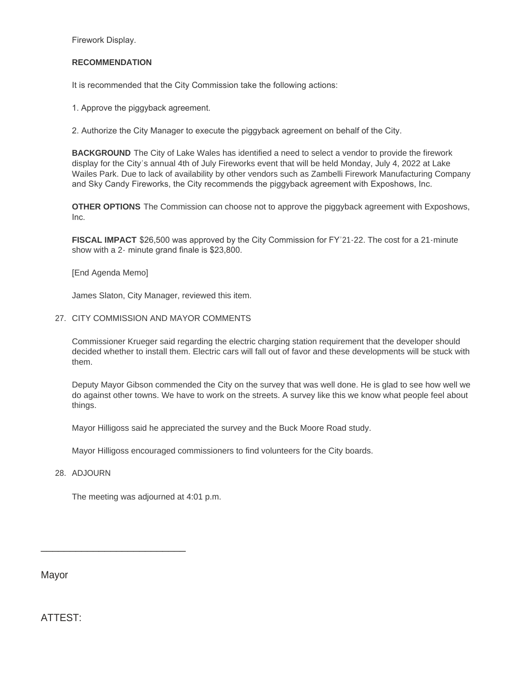Firework Display.

#### **RECOMMENDATION**

It is recommended that the City Commission take the following actions:

1. Approve the piggyback agreement.

2. Authorize the City Manager to execute the piggyback agreement on behalf of the City.

**BACKGROUND** The City of Lake Wales has identified a need to select a vendor to provide the firework display for the City's annual 4th of July Fireworks event that will be held Monday, July 4, 2022 at Lake Wailes Park. Due to lack of availability by other vendors such as Zambelli Firework Manufacturing Company and Sky Candy Fireworks, the City recommends the piggyback agreement with Exposhows, Inc.

**OTHER OPTIONS** The Commission can choose not to approve the piggyback agreement with Exposhows, Inc.

**FISCAL IMPACT** \$26,500 was approved by the City Commission for FY'21-22. The cost for a 21-minute show with a 2- minute grand finale is \$23,800.

[End Agenda Memo]

James Slaton, City Manager, reviewed this item.

27. CITY COMMISSION AND MAYOR COMMENTS

Commissioner Krueger said regarding the electric charging station requirement that the developer should decided whether to install them. Electric cars will fall out of favor and these developments will be stuck with them.

Deputy Mayor Gibson commended the City on the survey that was well done. He is glad to see how well we do against other towns. We have to work on the streets. A survey like this we know what people feel about things.

Mayor Hilligoss said he appreciated the survey and the Buck Moore Road study.

Mayor Hilligoss encouraged commissioners to find volunteers for the City boards.

#### 28. ADJOURN

The meeting was adjourned at 4:01 p.m.

\_\_\_\_\_\_\_\_\_\_\_\_\_\_\_\_\_\_\_\_\_\_\_\_\_

Mayor

ATTEST: